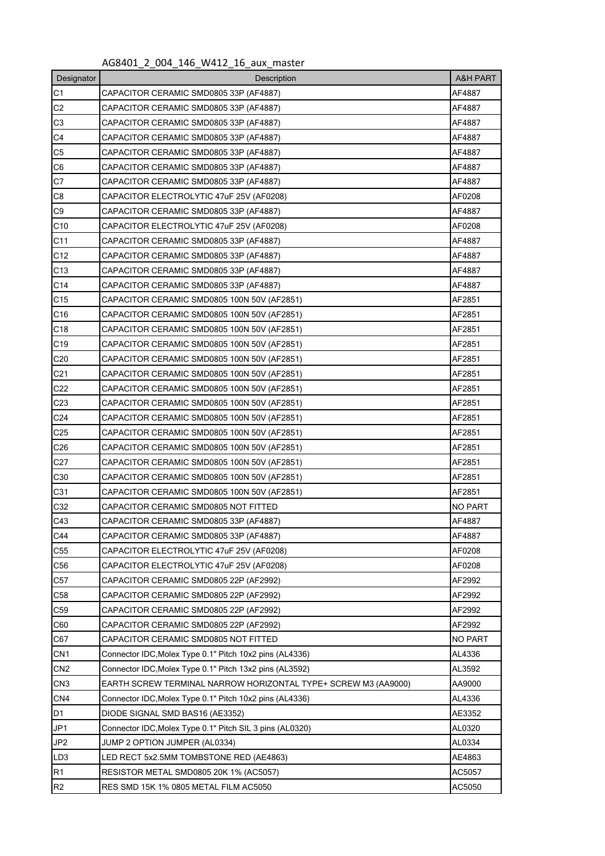## AG8401\_2\_004\_146\_W412\_16\_aux\_master

| Designator      | <b>A&amp;H PART</b><br>Description                                       |        |  |  |  |  |  |  |
|-----------------|--------------------------------------------------------------------------|--------|--|--|--|--|--|--|
| C1              | CAPACITOR CERAMIC SMD0805 33P (AF4887)<br>AF4887                         |        |  |  |  |  |  |  |
| C <sub>2</sub>  | AF4887<br>CAPACITOR CERAMIC SMD0805 33P (AF4887)                         |        |  |  |  |  |  |  |
| C <sub>3</sub>  | CAPACITOR CERAMIC SMD0805 33P (AF4887)<br>AF4887                         |        |  |  |  |  |  |  |
| C4              | CAPACITOR CERAMIC SMD0805 33P (AF4887)<br>AF4887                         |        |  |  |  |  |  |  |
| C <sub>5</sub>  | CAPACITOR CERAMIC SMD0805 33P (AF4887)<br>AF4887                         |        |  |  |  |  |  |  |
| C6              | AF4887<br>CAPACITOR CERAMIC SMD0805 33P (AF4887)                         |        |  |  |  |  |  |  |
| C7              | AF4887<br>CAPACITOR CERAMIC SMD0805 33P (AF4887)                         |        |  |  |  |  |  |  |
| C <sub>8</sub>  | AF0208<br>CAPACITOR ELECTROLYTIC 47uF 25V (AF0208)                       |        |  |  |  |  |  |  |
| C9              | AF4887<br>CAPACITOR CERAMIC SMD0805 33P (AF4887)                         |        |  |  |  |  |  |  |
| C <sub>10</sub> | CAPACITOR ELECTROLYTIC 47uF 25V (AF0208)                                 | AF0208 |  |  |  |  |  |  |
| C <sub>11</sub> | CAPACITOR CERAMIC SMD0805 33P (AF4887)                                   | AF4887 |  |  |  |  |  |  |
| C12             | CAPACITOR CERAMIC SMD0805 33P (AF4887)                                   | AF4887 |  |  |  |  |  |  |
| C <sub>13</sub> | CAPACITOR CERAMIC SMD0805 33P (AF4887)                                   | AF4887 |  |  |  |  |  |  |
| C <sub>14</sub> | CAPACITOR CERAMIC SMD0805 33P (AF4887)                                   | AF4887 |  |  |  |  |  |  |
| C <sub>15</sub> | CAPACITOR CERAMIC SMD0805 100N 50V (AF2851)                              | AF2851 |  |  |  |  |  |  |
| C <sub>16</sub> | CAPACITOR CERAMIC SMD0805 100N 50V (AF2851)                              | AF2851 |  |  |  |  |  |  |
| C <sub>18</sub> | CAPACITOR CERAMIC SMD0805 100N 50V (AF2851)                              | AF2851 |  |  |  |  |  |  |
| C <sub>19</sub> | CAPACITOR CERAMIC SMD0805 100N 50V (AF2851)                              | AF2851 |  |  |  |  |  |  |
| C <sub>20</sub> | CAPACITOR CERAMIC SMD0805 100N 50V (AF2851)<br>AF2851                    |        |  |  |  |  |  |  |
| C <sub>21</sub> | CAPACITOR CERAMIC SMD0805 100N 50V (AF2851)                              |        |  |  |  |  |  |  |
| C <sub>22</sub> | CAPACITOR CERAMIC SMD0805 100N 50V (AF2851)                              |        |  |  |  |  |  |  |
| C <sub>23</sub> | CAPACITOR CERAMIC SMD0805 100N 50V (AF2851)                              |        |  |  |  |  |  |  |
| C <sub>24</sub> | AF2851<br>CAPACITOR CERAMIC SMD0805 100N 50V (AF2851)                    |        |  |  |  |  |  |  |
| C <sub>25</sub> | AF2851<br>CAPACITOR CERAMIC SMD0805 100N 50V (AF2851)                    |        |  |  |  |  |  |  |
| C <sub>26</sub> | AF2851<br>CAPACITOR CERAMIC SMD0805 100N 50V (AF2851)                    |        |  |  |  |  |  |  |
| C27             | AF2851<br>CAPACITOR CERAMIC SMD0805 100N 50V (AF2851)                    |        |  |  |  |  |  |  |
| C <sub>30</sub> | AF2851<br>CAPACITOR CERAMIC SMD0805 100N 50V (AF2851)                    |        |  |  |  |  |  |  |
| C31             | AF2851<br>CAPACITOR CERAMIC SMD0805 100N 50V (AF2851)                    |        |  |  |  |  |  |  |
| C32             | NO PART<br>CAPACITOR CERAMIC SMD0805 NOT FITTED                          |        |  |  |  |  |  |  |
| C43             | CAPACITOR CERAMIC SMD0805 33P (AF4887)<br>AF4887                         |        |  |  |  |  |  |  |
| C44             | CAPACITOR CERAMIC SMD0805 33P (AF4887)<br>AF4887                         |        |  |  |  |  |  |  |
| C <sub>55</sub> | AF0208<br>CAPACITOR ELECTROLYTIC 47uF 25V (AF0208)                       |        |  |  |  |  |  |  |
| C <sub>56</sub> | AF0208<br>CAPACITOR ELECTROLYTIC 47uF 25V (AF0208)                       |        |  |  |  |  |  |  |
| C <sub>57</sub> | AF2992<br>CAPACITOR CERAMIC SMD0805 22P (AF2992)                         |        |  |  |  |  |  |  |
| C <sub>58</sub> | CAPACITOR CERAMIC SMD0805 22P (AF2992)<br>AF2992                         |        |  |  |  |  |  |  |
| C <sub>59</sub> | AF2992<br>CAPACITOR CERAMIC SMD0805 22P (AF2992)                         |        |  |  |  |  |  |  |
| C60             | AF2992<br>CAPACITOR CERAMIC SMD0805 22P (AF2992)                         |        |  |  |  |  |  |  |
| C67             | CAPACITOR CERAMIC SMD0805 NOT FITTED<br>NO PART                          |        |  |  |  |  |  |  |
| CN <sub>1</sub> | AL4336<br>Connector IDC, Molex Type 0.1" Pitch 10x2 pins (AL4336)        |        |  |  |  |  |  |  |
| CN <sub>2</sub> | AL3592<br>Connector IDC, Molex Type 0.1" Pitch 13x2 pins (AL3592)        |        |  |  |  |  |  |  |
| CN <sub>3</sub> | AA9000<br>EARTH SCREW TERMINAL NARROW HORIZONTAL TYPE+ SCREW M3 (AA9000) |        |  |  |  |  |  |  |
| CN4             | AL4336<br>Connector IDC, Molex Type 0.1" Pitch 10x2 pins (AL4336)        |        |  |  |  |  |  |  |
| D1              | AE3352<br>DIODE SIGNAL SMD BAS16 (AE3352)                                |        |  |  |  |  |  |  |
| JP1             | Connector IDC, Molex Type 0.1" Pitch SIL 3 pins (AL0320)<br>AL0320       |        |  |  |  |  |  |  |
| JP <sub>2</sub> | AL0334<br>JUMP 2 OPTION JUMPER (AL0334)                                  |        |  |  |  |  |  |  |
| LD <sub>3</sub> | AE4863<br>LED RECT 5x2.5MM TOMBSTONE RED (AE4863)                        |        |  |  |  |  |  |  |
| R1              | AC5057<br><b>RESISTOR METAL SMD0805 20K 1% (AC5057)</b>                  |        |  |  |  |  |  |  |
| R <sub>2</sub>  | AC5050<br>RES SMD 15K 1% 0805 METAL FILM AC5050                          |        |  |  |  |  |  |  |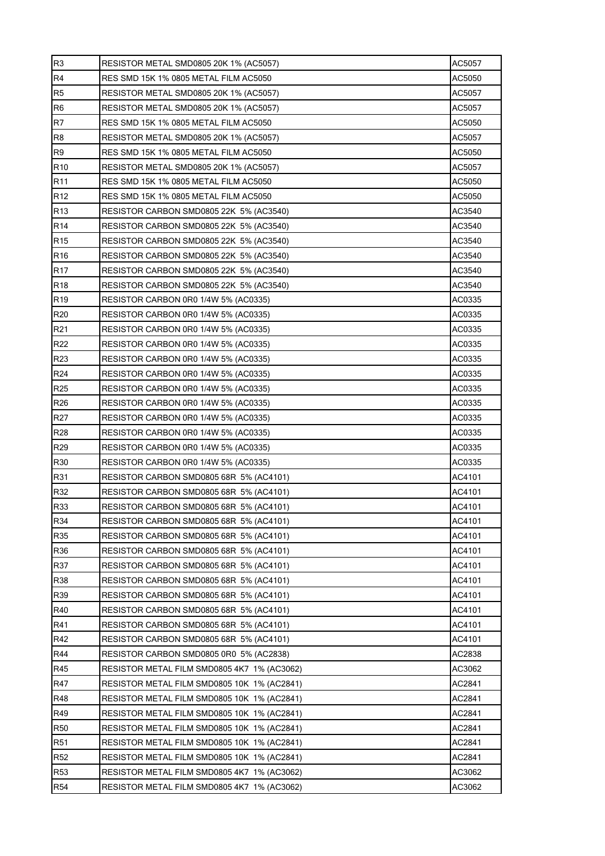| R <sub>3</sub>  | AC5057<br>RESISTOR METAL SMD0805 20K 1% (AC5057)        |        |  |  |  |  |  |  |  |
|-----------------|---------------------------------------------------------|--------|--|--|--|--|--|--|--|
| R <sub>4</sub>  | RES SMD 15K 1% 0805 METAL FILM AC5050<br>AC5050         |        |  |  |  |  |  |  |  |
| R <sub>5</sub>  | <b>RESISTOR METAL SMD0805 20K 1% (AC5057)</b><br>AC5057 |        |  |  |  |  |  |  |  |
| R <sub>6</sub>  | AC5057<br>RESISTOR METAL SMD0805 20K 1% (AC5057)        |        |  |  |  |  |  |  |  |
| R <sub>7</sub>  | RES SMD 15K 1% 0805 METAL FILM AC5050<br>AC5050         |        |  |  |  |  |  |  |  |
| R <sub>8</sub>  | RESISTOR METAL SMD0805 20K 1% (AC5057)<br>AC5057        |        |  |  |  |  |  |  |  |
| R <sub>9</sub>  | RES SMD 15K 1% 0805 METAL FILM AC5050<br>AC5050         |        |  |  |  |  |  |  |  |
| R <sub>10</sub> | <b>RESISTOR METAL SMD0805 20K 1% (AC5057)</b><br>AC5057 |        |  |  |  |  |  |  |  |
| R <sub>11</sub> | RES SMD 15K 1% 0805 METAL FILM AC5050<br>AC5050         |        |  |  |  |  |  |  |  |
| R <sub>12</sub> | RES SMD 15K 1% 0805 METAL FILM AC5050<br>AC5050         |        |  |  |  |  |  |  |  |
| R <sub>13</sub> | RESISTOR CARBON SMD0805 22K 5% (AC3540)<br>AC3540       |        |  |  |  |  |  |  |  |
| R <sub>14</sub> | AC3540<br>RESISTOR CARBON SMD0805 22K 5% (AC3540)       |        |  |  |  |  |  |  |  |
| R <sub>15</sub> | AC3540<br>RESISTOR CARBON SMD0805 22K 5% (AC3540)       |        |  |  |  |  |  |  |  |
| R <sub>16</sub> | RESISTOR CARBON SMD0805 22K 5% (AC3540)                 | AC3540 |  |  |  |  |  |  |  |
| <b>R17</b>      | AC3540<br>RESISTOR CARBON SMD0805 22K 5% (AC3540)       |        |  |  |  |  |  |  |  |
| R <sub>18</sub> | RESISTOR CARBON SMD0805 22K 5% (AC3540)                 | AC3540 |  |  |  |  |  |  |  |
| R <sub>19</sub> | RESISTOR CARBON 0R0 1/4W 5% (AC0335)                    | AC0335 |  |  |  |  |  |  |  |
| R <sub>20</sub> | RESISTOR CARBON 0R0 1/4W 5% (AC0335)                    | AC0335 |  |  |  |  |  |  |  |
| R <sub>21</sub> | RESISTOR CARBON 0R0 1/4W 5% (AC0335)                    | AC0335 |  |  |  |  |  |  |  |
| R <sub>22</sub> | RESISTOR CARBON 0R0 1/4W 5% (AC0335)<br>AC0335          |        |  |  |  |  |  |  |  |
| R <sub>23</sub> | RESISTOR CARBON 0R0 1/4W 5% (AC0335)<br>AC0335          |        |  |  |  |  |  |  |  |
| R <sub>24</sub> | RESISTOR CARBON 0R0 1/4W 5% (AC0335)<br>AC0335          |        |  |  |  |  |  |  |  |
| R <sub>25</sub> | RESISTOR CARBON 0R0 1/4W 5% (AC0335)<br>AC0335          |        |  |  |  |  |  |  |  |
| R <sub>26</sub> | RESISTOR CARBON 0R0 1/4W 5% (AC0335)<br>AC0335          |        |  |  |  |  |  |  |  |
| R <sub>27</sub> | RESISTOR CARBON 0R0 1/4W 5% (AC0335)<br>AC0335          |        |  |  |  |  |  |  |  |
| R <sub>28</sub> | RESISTOR CARBON 0R0 1/4W 5% (AC0335)                    | AC0335 |  |  |  |  |  |  |  |
| R <sub>29</sub> | RESISTOR CARBON 0R0 1/4W 5% (AC0335)                    | AC0335 |  |  |  |  |  |  |  |
| <b>R30</b>      | RESISTOR CARBON 0R0 1/4W 5% (AC0335)<br>AC0335          |        |  |  |  |  |  |  |  |
| R31             | AC4101<br>RESISTOR CARBON SMD0805 68R_5% (AC4101)       |        |  |  |  |  |  |  |  |
| R32             | RESISTOR CARBON SMD0805 68R 5% (AC4101)<br>AC4101       |        |  |  |  |  |  |  |  |
| R33             | RESISTOR CARBON SMD0805 68R 5% (AC4101)<br>AC4101       |        |  |  |  |  |  |  |  |
| R34             | RESISTOR CARBON SMD0805 68R 5% (AC4101)<br>AC4101       |        |  |  |  |  |  |  |  |
| R35             | AC4101<br>RESISTOR CARBON SMD0805 68R 5% (AC4101)       |        |  |  |  |  |  |  |  |
| R36             | AC4101<br>RESISTOR CARBON SMD0805 68R 5% (AC4101)       |        |  |  |  |  |  |  |  |
| R37             | RESISTOR CARBON SMD0805 68R 5% (AC4101)<br>AC4101       |        |  |  |  |  |  |  |  |
| <b>R38</b>      | AC4101<br>RESISTOR CARBON SMD0805 68R 5% (AC4101)       |        |  |  |  |  |  |  |  |
| R39             | RESISTOR CARBON SMD0805 68R 5% (AC4101)                 | AC4101 |  |  |  |  |  |  |  |
| R40             | RESISTOR CARBON SMD0805 68R 5% (AC4101)                 | AC4101 |  |  |  |  |  |  |  |
| R41             | RESISTOR CARBON SMD0805 68R 5% (AC4101)<br>AC4101       |        |  |  |  |  |  |  |  |
| R42             | RESISTOR CARBON SMD0805 68R 5% (AC4101)<br>AC4101       |        |  |  |  |  |  |  |  |
| R44             | AC2838<br>RESISTOR CARBON SMD0805 0R0 5% (AC2838)       |        |  |  |  |  |  |  |  |
| R45             | AC3062<br>RESISTOR METAL FILM SMD0805 4K7 1% (AC3062)   |        |  |  |  |  |  |  |  |
| R47             | AC2841<br>RESISTOR METAL FILM SMD0805 10K 1% (AC2841)   |        |  |  |  |  |  |  |  |
| R48             | AC2841<br>RESISTOR METAL FILM SMD0805 10K 1% (AC2841)   |        |  |  |  |  |  |  |  |
| R49             | AC2841<br>RESISTOR METAL FILM SMD0805 10K 1% (AC2841)   |        |  |  |  |  |  |  |  |
| R <sub>50</sub> | AC2841<br>RESISTOR METAL FILM SMD0805 10K 1% (AC2841)   |        |  |  |  |  |  |  |  |
| R <sub>51</sub> | AC2841<br>RESISTOR METAL FILM SMD0805 10K 1% (AC2841)   |        |  |  |  |  |  |  |  |
| R <sub>52</sub> | AC2841<br>RESISTOR METAL FILM SMD0805 10K 1% (AC2841)   |        |  |  |  |  |  |  |  |
| <b>R53</b>      | AC3062<br>RESISTOR METAL FILM SMD0805 4K7 1% (AC3062)   |        |  |  |  |  |  |  |  |
| R <sub>54</sub> | AC3062<br>RESISTOR METAL FILM SMD0805 4K7_1% (AC3062)   |        |  |  |  |  |  |  |  |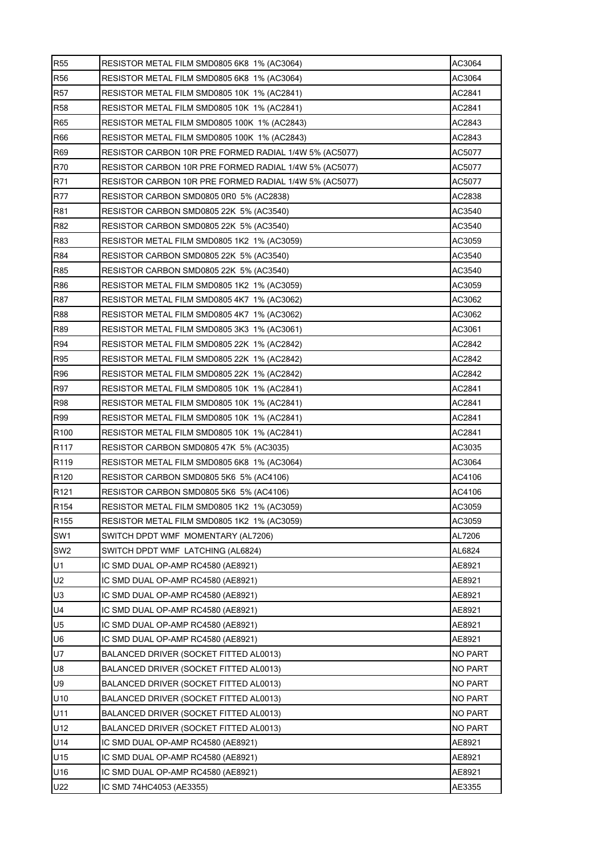| <b>R55</b>       | RESISTOR METAL FILM SMD0805 6K8 1% (AC3064)                      | AC3064         |  |  |  |  |  |  |  |
|------------------|------------------------------------------------------------------|----------------|--|--|--|--|--|--|--|
| R56              | AC3064<br>RESISTOR METAL FILM SMD0805 6K8 1% (AC3064)            |                |  |  |  |  |  |  |  |
| <b>R57</b>       | AC2841<br>RESISTOR METAL FILM SMD0805 10K 1% (AC2841)            |                |  |  |  |  |  |  |  |
| <b>R58</b>       | AC2841<br>RESISTOR METAL FILM SMD0805 10K 1% (AC2841)            |                |  |  |  |  |  |  |  |
| R65              | RESISTOR METAL FILM SMD0805 100K 1% (AC2843)<br>AC2843           |                |  |  |  |  |  |  |  |
| R66              | RESISTOR METAL FILM SMD0805 100K 1% (AC2843)<br>AC2843           |                |  |  |  |  |  |  |  |
| R69              | RESISTOR CARBON 10R PRE FORMED RADIAL 1/4W 5% (AC5077)<br>AC5077 |                |  |  |  |  |  |  |  |
| <b>R70</b>       | AC5077<br>RESISTOR CARBON 10R PRE FORMED RADIAL 1/4W 5% (AC5077) |                |  |  |  |  |  |  |  |
| R71              | RESISTOR CARBON 10R PRE FORMED RADIAL 1/4W 5% (AC5077)<br>AC5077 |                |  |  |  |  |  |  |  |
| <b>R77</b>       | AC2838<br>RESISTOR CARBON SMD0805 0R0 5% (AC2838)                |                |  |  |  |  |  |  |  |
| R81              | RESISTOR CARBON SMD0805 22K 5% (AC3540)<br>AC3540                |                |  |  |  |  |  |  |  |
| R82              | RESISTOR CARBON SMD0805 22K 5% (AC3540)<br>AC3540                |                |  |  |  |  |  |  |  |
| R83              | AC3059<br>RESISTOR METAL FILM SMD0805 1K2 1% (AC3059)            |                |  |  |  |  |  |  |  |
| <b>R84</b>       | RESISTOR CARBON SMD0805 22K 5% (AC3540)                          | AC3540         |  |  |  |  |  |  |  |
| R85              | RESISTOR CARBON SMD0805 22K 5% (AC3540)<br>AC3540                |                |  |  |  |  |  |  |  |
| <b>R86</b>       | RESISTOR METAL FILM SMD0805 1K2 1% (AC3059)                      | AC3059         |  |  |  |  |  |  |  |
| R87              | RESISTOR METAL FILM SMD0805 4K7 1% (AC3062)                      | AC3062         |  |  |  |  |  |  |  |
| <b>R88</b>       | RESISTOR METAL FILM SMD0805 4K7 1% (AC3062)                      | AC3062         |  |  |  |  |  |  |  |
| R89              | RESISTOR METAL FILM SMD0805 3K3 1% (AC3061)                      | AC3061         |  |  |  |  |  |  |  |
| R94              | AC2842<br>RESISTOR METAL FILM SMD0805 22K 1% (AC2842)            |                |  |  |  |  |  |  |  |
| R95              | RESISTOR METAL FILM SMD0805 22K 1% (AC2842)<br>AC2842            |                |  |  |  |  |  |  |  |
| R96              | AC2842<br>RESISTOR METAL FILM SMD0805 22K 1% (AC2842)            |                |  |  |  |  |  |  |  |
| R97              | AC2841<br>RESISTOR METAL FILM SMD0805 10K 1% (AC2841)            |                |  |  |  |  |  |  |  |
| <b>R98</b>       | RESISTOR METAL FILM SMD0805 10K 1% (AC2841)<br>AC2841            |                |  |  |  |  |  |  |  |
| R99              | RESISTOR METAL FILM SMD0805 10K 1% (AC2841)<br>AC2841            |                |  |  |  |  |  |  |  |
| R <sub>100</sub> | RESISTOR METAL FILM SMD0805 10K 1% (AC2841)                      | AC2841         |  |  |  |  |  |  |  |
| R <sub>117</sub> | RESISTOR CARBON SMD0805 47K 5% (AC3035)                          | AC3035         |  |  |  |  |  |  |  |
| R <sub>119</sub> | RESISTOR METAL FILM SMD0805 6K8 1% (AC3064)                      | AC3064         |  |  |  |  |  |  |  |
| R <sub>120</sub> | RESISTOR CARBON SMD0805 5K6 5% (AC4106)                          | AC4106         |  |  |  |  |  |  |  |
| R <sub>121</sub> | RESISTOR CARBON SMD0805 5K6 5% (AC4106)                          | AC4106         |  |  |  |  |  |  |  |
| R <sub>154</sub> | RESISTOR METAL FILM SMD0805 1K2 1% (AC3059)                      | AC3059         |  |  |  |  |  |  |  |
| R <sub>155</sub> | AC3059<br>RESISTOR METAL FILM SMD0805 1K2 1% (AC3059)            |                |  |  |  |  |  |  |  |
| SW1              | SWITCH DPDT WMF MOMENTARY (AL7206)                               | AL7206         |  |  |  |  |  |  |  |
| SW <sub>2</sub>  | AL6824<br>SWITCH DPDT WMF LATCHING (AL6824)                      |                |  |  |  |  |  |  |  |
| U1               | IC SMD DUAL OP-AMP RC4580 (AE8921)                               | AE8921         |  |  |  |  |  |  |  |
| U <sub>2</sub>   | AE8921<br>IC SMD DUAL OP-AMP RC4580 (AE8921)                     |                |  |  |  |  |  |  |  |
| U <sub>3</sub>   | IC SMD DUAL OP-AMP RC4580 (AE8921)<br>AE8921                     |                |  |  |  |  |  |  |  |
| U <sub>4</sub>   | AE8921<br>IC SMD DUAL OP-AMP RC4580 (AE8921)                     |                |  |  |  |  |  |  |  |
| U <sub>5</sub>   | IC SMD DUAL OP-AMP RC4580 (AE8921)                               | AE8921         |  |  |  |  |  |  |  |
| U <sub>6</sub>   | IC SMD DUAL OP-AMP RC4580 (AE8921)                               | AE8921         |  |  |  |  |  |  |  |
| U7               | BALANCED DRIVER (SOCKET FITTED AL0013)<br><b>NO PART</b>         |                |  |  |  |  |  |  |  |
| U8               | BALANCED DRIVER (SOCKET FITTED AL0013)                           | <b>NO PART</b> |  |  |  |  |  |  |  |
| U9               | BALANCED DRIVER (SOCKET FITTED AL0013)<br>NO PART                |                |  |  |  |  |  |  |  |
| U10              | BALANCED DRIVER (SOCKET FITTED AL0013)                           | <b>NO PART</b> |  |  |  |  |  |  |  |
| U11              | BALANCED DRIVER (SOCKET FITTED AL0013)<br><b>NO PART</b>         |                |  |  |  |  |  |  |  |
| U12              | <b>NO PART</b><br>BALANCED DRIVER (SOCKET FITTED AL0013)         |                |  |  |  |  |  |  |  |
| U14              | IC SMD DUAL OP-AMP RC4580 (AE8921)                               | AE8921         |  |  |  |  |  |  |  |
| U15              | IC SMD DUAL OP-AMP RC4580 (AE8921)                               | AE8921         |  |  |  |  |  |  |  |
| U16              | IC SMD DUAL OP-AMP RC4580 (AE8921)                               | AE8921         |  |  |  |  |  |  |  |
| U22              | AE3355<br>IC SMD 74HC4053 (AE3355)                               |                |  |  |  |  |  |  |  |
|                  |                                                                  |                |  |  |  |  |  |  |  |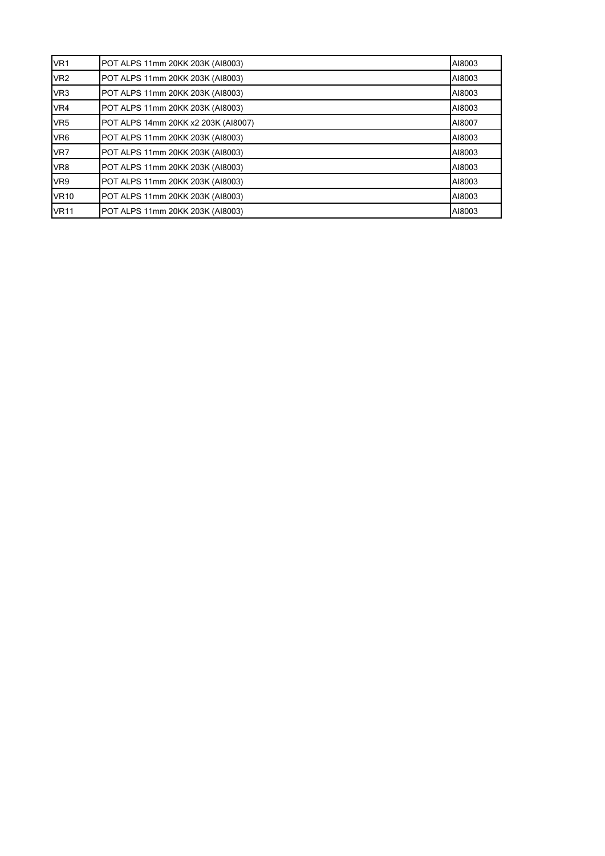| VR <sub>1</sub> | POT ALPS 11mm 20KK 203K (AI8003)<br>AI8003 |        |  |  |  |  |  |  |
|-----------------|--------------------------------------------|--------|--|--|--|--|--|--|
| VR <sub>2</sub> | POT ALPS 11mm 20KK 203K (AI8003)           | AI8003 |  |  |  |  |  |  |
| VR <sub>3</sub> | POT ALPS 11mm 20KK 203K (AI8003)<br>AI8003 |        |  |  |  |  |  |  |
| VR4             | POT ALPS 11mm 20KK 203K (AI8003)<br>AI8003 |        |  |  |  |  |  |  |
| VR <sub>5</sub> | POT ALPS 14mm 20KK x2 203K (AI8007)        | AI8007 |  |  |  |  |  |  |
| VR <sub>6</sub> | POT ALPS 11mm 20KK 203K (AI8003)           | AI8003 |  |  |  |  |  |  |
| VR7             | POT ALPS 11mm 20KK 203K (AI8003)           | AI8003 |  |  |  |  |  |  |
| VR8             | POT ALPS 11mm 20KK 203K (AI8003)           | AI8003 |  |  |  |  |  |  |
| VR9             | POT ALPS 11mm 20KK 203K (AI8003)           | AI8003 |  |  |  |  |  |  |
| <b>VR10</b>     | POT ALPS 11mm 20KK 203K (AI8003)           | AI8003 |  |  |  |  |  |  |
| <b>VR11</b>     | POT ALPS 11mm 20KK 203K (AI8003)           | AI8003 |  |  |  |  |  |  |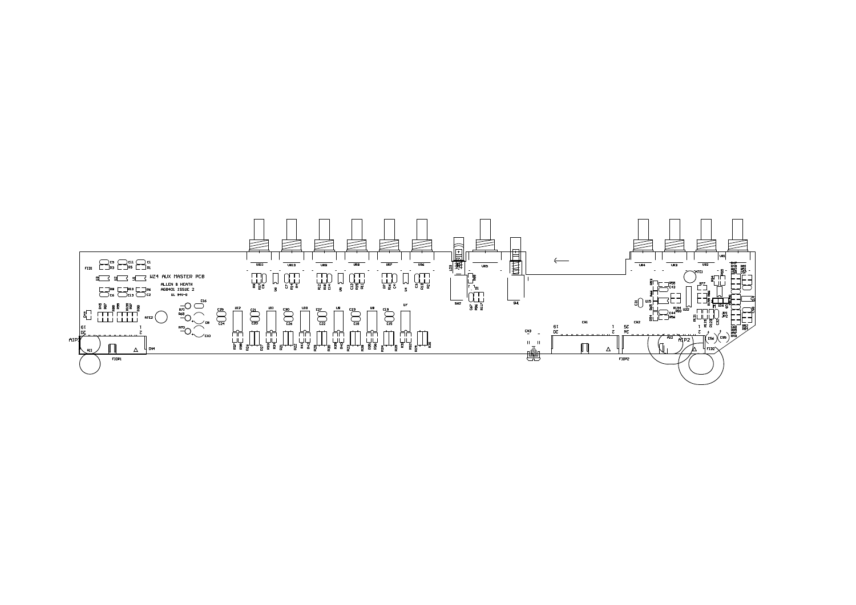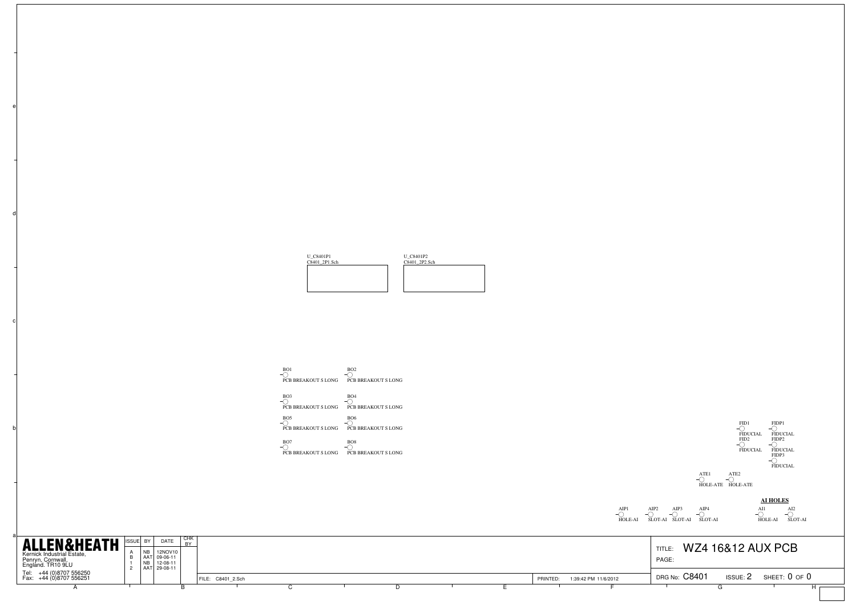

BO1 PCB BREAKOUT S LONGBO2 PCB BREAKOUT S LONG



a

b

c

d



AI2 SLOT-AI

AI1 HOLE-AI **AI HOLES** AIP1 HOLE-AI AIP2 SLOT-AI AIP3 SLOT-AI AIP4 SLOT-AI

| <b>ALLEN&amp;HEATH</b><br>Kernick Industrial Estate,<br>Penryn, Cornwall,<br>England. TR10 9LU |  | ISSUE BY<br>NE | DATE<br>12NOV10<br>AAT 09-06-11<br>12-08-11 | <b>CHK</b><br>DV. |                   |  |  |                                  | <b>WZ4 16&amp;12 AUX PCB</b><br>TITLE:<br>PAGE:   |
|------------------------------------------------------------------------------------------------|--|----------------|---------------------------------------------|-------------------|-------------------|--|--|----------------------------------|---------------------------------------------------|
| Tel: +44 (0)8707 556250<br>Fax: +44 (0)8707 556251                                             |  |                | AAT 29-08-11                                |                   | FILE: C8401 2.Sch |  |  | 1:39:42 PM 11/6/2012<br>PRINTED: | DRG No: C8401<br>SHEET: 0 OF 0<br><b>ISSUE: 2</b> |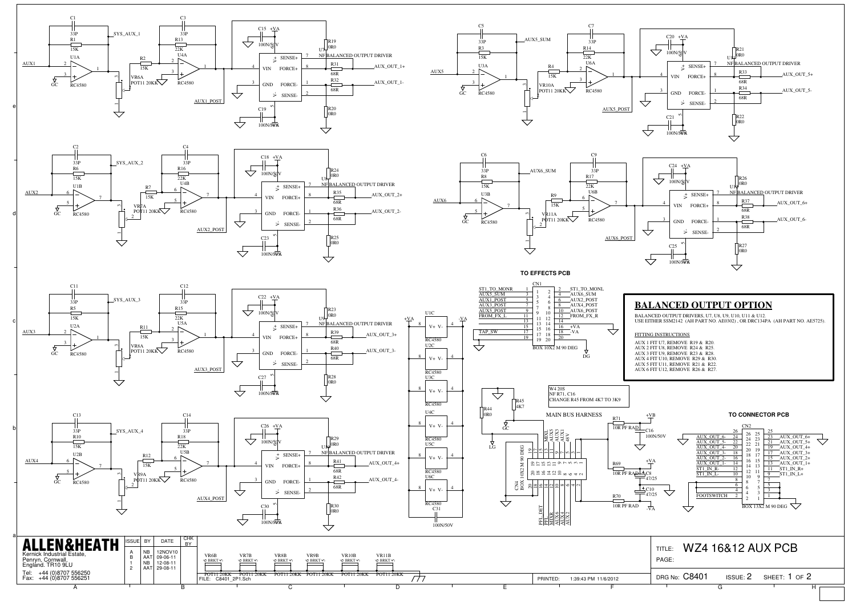



A SALE BOOK BOOK COMPUTER SERVICE SERVICE SERVICE SERVICE SERVICE SERVICE SERVICE SERVICE SERVICE SERVICE SERVICE SERVICE SERVICE SERVICE SERVICE SERVICE SERVICE SERVICE SERVICE SERVICE SERVICE SERVICE SERVICE SERVICE SERV

A





C C P D F F G F G H